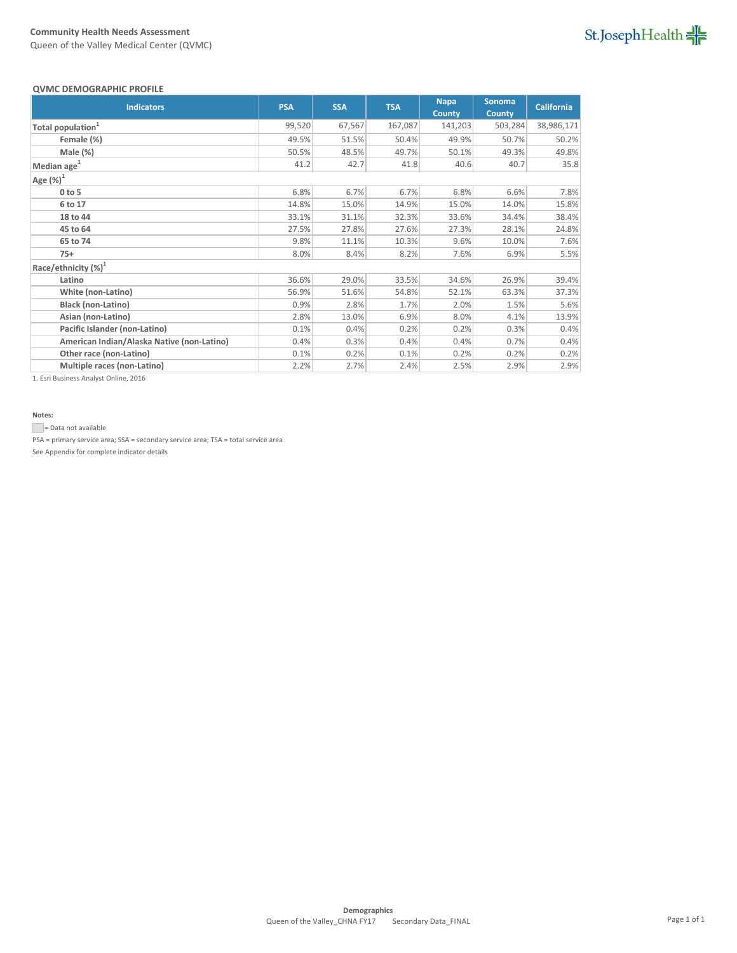Queen of the Valley Medical Center (QVMC)

## St.JosephHealth

#### **QVMC DEMOGRAPHIC PROFILE**

| <b>QVIVIC DEIVIOURAF HIC FROFILL</b>       |            |            |            |                              |                                |                   |  |  |
|--------------------------------------------|------------|------------|------------|------------------------------|--------------------------------|-------------------|--|--|
| <b>Indicators</b>                          | <b>PSA</b> | <b>SSA</b> | <b>TSA</b> | <b>Napa</b><br><b>County</b> | <b>Sonoma</b><br><b>County</b> | <b>California</b> |  |  |
| Total population <sup>1</sup>              | 99,520     | 67,567     | 167,087    | 141,203                      | 503,284                        | 38,986,171        |  |  |
| Female (%)                                 | 49.5%      | 51.5%      | 50.4%      | 49.9%                        | 50.7%                          | 50.2%             |  |  |
| Male $(\%)$                                | 50.5%      | 48.5%      | 49.7%      | 50.1%                        | 49.3%                          | 49.8%             |  |  |
| Median age <sup>1</sup>                    | 41.2       | 42.7       | 41.8       | 40.6                         | 40.7                           | 35.8              |  |  |
| Age $(\%)^1$                               |            |            |            |                              |                                |                   |  |  |
| $0$ to 5                                   | 6.8%       | 6.7%       | 6.7%       | 6.8%                         | 6.6%                           | 7.8%              |  |  |
| 6 to 17                                    | 14.8%      | 15.0%      | 14.9%      | 15.0%                        | 14.0%                          | 15.8%             |  |  |
| 18 to 44                                   | 33.1%      | 31.1%      | 32.3%      | 33.6%                        | 34.4%                          | 38.4%             |  |  |
| 45 to 64                                   | 27.5%      | 27.8%      | 27.6%      | 27.3%                        | 28.1%                          | 24.8%             |  |  |
| 65 to 74                                   | 9.8%       | 11.1%      | 10.3%      | 9.6%                         | 10.0%                          | 7.6%              |  |  |
| $75+$                                      | 8.0%       | 8.4%       | 8.2%       | 7.6%                         | 6.9%                           | 5.5%              |  |  |
| Race/ethnicity $(%)^1$                     |            |            |            |                              |                                |                   |  |  |
| Latino                                     | 36.6%      | 29.0%      | 33.5%      | 34.6%                        | 26.9%                          | 39.4%             |  |  |
| White (non-Latino)                         | 56.9%      | 51.6%      | 54.8%      | 52.1%                        | 63.3%                          | 37.3%             |  |  |
| <b>Black (non-Latino)</b>                  | 0.9%       | 2.8%       | 1.7%       | 2.0%                         | 1.5%                           | 5.6%              |  |  |
| Asian (non-Latino)                         | 2.8%       | 13.0%      | 6.9%       | 8.0%                         | 4.1%                           | 13.9%             |  |  |
| Pacific Islander (non-Latino)              | 0.1%       | 0.4%       | 0.2%       | 0.2%                         | 0.3%                           | 0.4%              |  |  |
| American Indian/Alaska Native (non-Latino) | 0.4%       | 0.3%       | 0.4%       | 0.4%                         | 0.7%                           | 0.4%              |  |  |
| Other race (non-Latino)                    | 0.1%       | 0.2%       | 0.1%       | 0.2%                         | 0.2%                           | 0.2%              |  |  |
| Multiple races (non-Latino)                | 2.2%       | 2.7%       | 2.4%       | 2.5%                         | 2.9%                           | 2.9%              |  |  |

1. Esri Business Analyst Online, 2016

#### **Notes:**

= Data not available

PSA = primary service area; SSA = secondary service area; TSA = total service area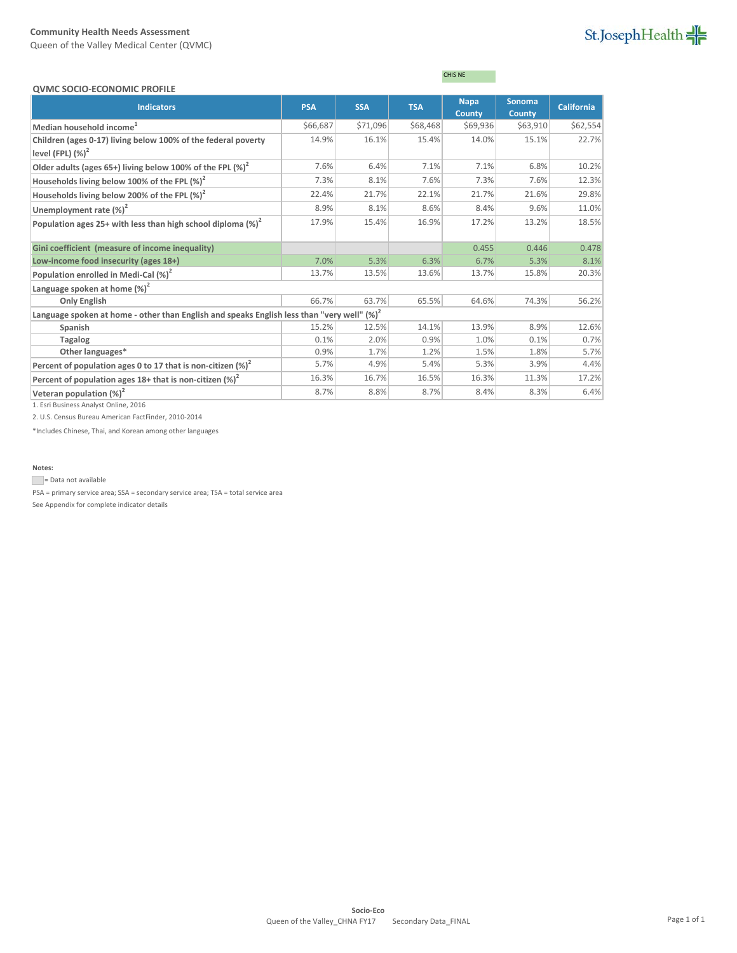Queen of the Valley Medical Center (QVMC)

## St.JosephHealth

| <b>QVMC SOCIO-ECONOMIC PROFILE</b>                                                                                                                                                                                                                                                                                                                                                                                  |            |            |            |                              |                                |                   |  |  |  |  |
|---------------------------------------------------------------------------------------------------------------------------------------------------------------------------------------------------------------------------------------------------------------------------------------------------------------------------------------------------------------------------------------------------------------------|------------|------------|------------|------------------------------|--------------------------------|-------------------|--|--|--|--|
| <b>Indicators</b>                                                                                                                                                                                                                                                                                                                                                                                                   | <b>PSA</b> | <b>SSA</b> | <b>TSA</b> | <b>Napa</b><br><b>County</b> | <b>Sonoma</b><br><b>County</b> | <b>California</b> |  |  |  |  |
| Median household income <sup>1</sup>                                                                                                                                                                                                                                                                                                                                                                                | \$66,687   | \$71,096   | \$68,468   | \$69,936                     | \$63,910                       | \$62,554          |  |  |  |  |
| Children (ages 0-17) living below 100% of the federal poverty<br>level (FPL) $(\%)^2$                                                                                                                                                                                                                                                                                                                               | 14.9%      | 16.1%      | 15.4%      | 14.0%                        | 15.1%                          | 22.7%             |  |  |  |  |
| Older adults (ages 65+) living below 100% of the FPL $(\%)^2$                                                                                                                                                                                                                                                                                                                                                       | 7.6%       | 6.4%       | 7.1%       | 7.1%                         | 6.8%                           | 10.2%             |  |  |  |  |
| Households living below 100% of the FPL $(\%)^2$                                                                                                                                                                                                                                                                                                                                                                    | 7.3%       | 8.1%       | 7.6%       | 7.3%                         | 7.6%                           | 12.3%             |  |  |  |  |
| Households living below 200% of the FPL $(\%)^2$                                                                                                                                                                                                                                                                                                                                                                    | 22.4%      | 21.7%      | 22.1%      | 21.7%                        | 21.6%                          | 29.8%             |  |  |  |  |
| Unemployment rate (%) <sup>2</sup>                                                                                                                                                                                                                                                                                                                                                                                  | 8.9%       | 8.1%       | 8.6%       | 8.4%                         | 9.6%                           | 11.0%             |  |  |  |  |
| Population ages 25+ with less than high school diploma $(\%)^2$                                                                                                                                                                                                                                                                                                                                                     | 17.9%      | 15.4%      | 16.9%      | 17.2%                        | 13.2%                          | 18.5%             |  |  |  |  |
| Gini coefficient (measure of income inequality)                                                                                                                                                                                                                                                                                                                                                                     |            |            |            | 0.455                        | 0.446                          | 0.478             |  |  |  |  |
| Low-income food insecurity (ages 18+)                                                                                                                                                                                                                                                                                                                                                                               | 7.0%       | 5.3%       | 6.3%       | 6.7%                         | 5.3%                           | 8.1%              |  |  |  |  |
| Population enrolled in Medi-Cal (%) <sup>2</sup>                                                                                                                                                                                                                                                                                                                                                                    | 13.7%      | 13.5%      | 13.6%      | 13.7%                        | 15.8%                          | 20.3%             |  |  |  |  |
| Language spoken at home $(\%)^2$                                                                                                                                                                                                                                                                                                                                                                                    |            |            |            |                              |                                |                   |  |  |  |  |
| <b>Only English</b>                                                                                                                                                                                                                                                                                                                                                                                                 | 66.7%      | 63.7%      | 65.5%      | 64.6%                        | 74.3%                          | 56.2%             |  |  |  |  |
| Language spoken at home - other than English and speaks English less than "very well" $(\%)^2$                                                                                                                                                                                                                                                                                                                      |            |            |            |                              |                                |                   |  |  |  |  |
| Spanish                                                                                                                                                                                                                                                                                                                                                                                                             | 15.2%      | 12.5%      | 14.1%      | 13.9%                        | 8.9%                           | 12.6%             |  |  |  |  |
| <b>Tagalog</b>                                                                                                                                                                                                                                                                                                                                                                                                      | 0.1%       | 2.0%       | 0.9%       | 1.0%                         | 0.1%                           | 0.7%              |  |  |  |  |
| Other languages*                                                                                                                                                                                                                                                                                                                                                                                                    | 0.9%       | 1.7%       | 1.2%       | 1.5%                         | 1.8%                           | 5.7%              |  |  |  |  |
| Percent of population ages 0 to 17 that is non-citizen $(\%)^2$                                                                                                                                                                                                                                                                                                                                                     | 5.7%       | 4.9%       | 5.4%       | 5.3%                         | 3.9%                           | 4.4%              |  |  |  |  |
| Percent of population ages $18+$ that is non-citizen $(\%)^2$                                                                                                                                                                                                                                                                                                                                                       | 16.3%      | 16.7%      | 16.5%      | 16.3%                        | 11.3%                          | 17.2%             |  |  |  |  |
| Veteran population $(\%)^2$<br>$\overline{A}$ $\overline{B}$ $\overline{A}$ $\overline{B}$ $\overline{A}$ $\overline{B}$ $\overline{A}$ $\overline{B}$ $\overline{A}$ $\overline{B}$ $\overline{A}$ $\overline{B}$ $\overline{A}$ $\overline{B}$ $\overline{A}$ $\overline{B}$ $\overline{A}$ $\overline{B}$ $\overline{A}$ $\overline{B}$ $\overline{A}$ $\overline{B}$ $\overline{A}$ $\overline{B}$ $\overline{$ | 8.7%       | 8.8%       | 8.7%       | 8.4%                         | 8.3%                           | 6.4%              |  |  |  |  |

CHIS NE

1. Esri Business Analyst Online, 2016

2. U.S. Census Bureau American FactFinder, 2010-2014

\*Includes Chinese, Thai, and Korean among other languages

#### **Notes:**

Data not available

PSA = primary service area; SSA = secondary service area; TSA = total service area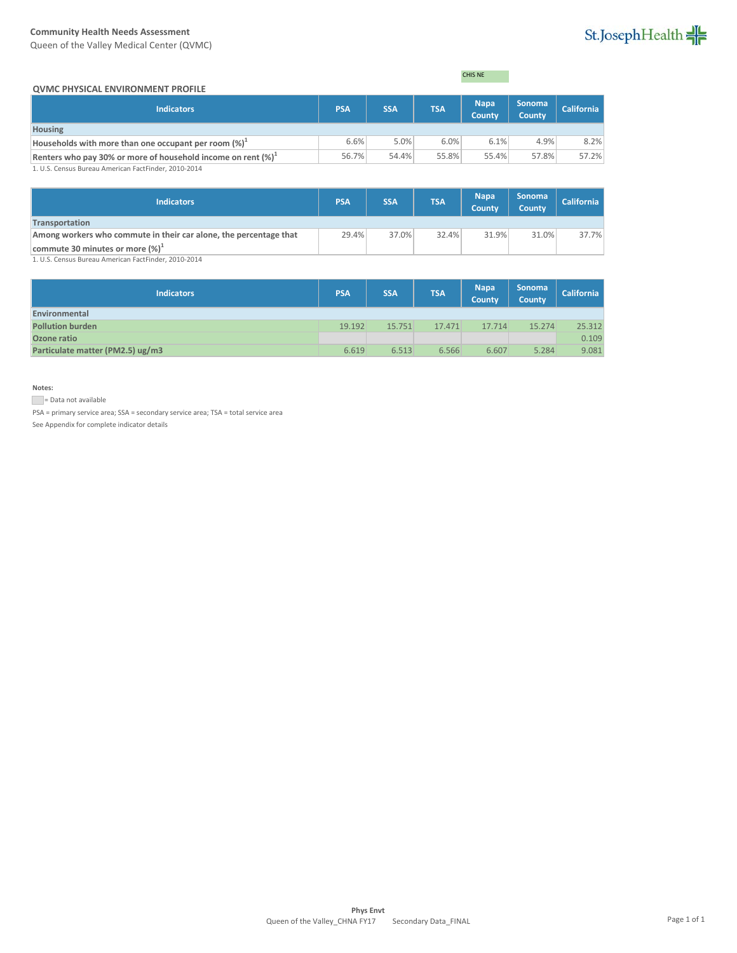Queen of the Valley Medical Center (QVMC)



#### **QVMC PHYSICAL ENVIRONMENT PROFILE**

CHIS NE

| <b>UVIVIC PRISICAL ENVIRONIVIENT PROFILE</b>                           |            |            |            |                              |                                |                   |
|------------------------------------------------------------------------|------------|------------|------------|------------------------------|--------------------------------|-------------------|
| <b>Indicators</b>                                                      | <b>PSA</b> | <b>SSA</b> | <b>TSA</b> | <b>Napa</b><br><b>County</b> | <b>Sonoma</b><br><b>County</b> | <b>California</b> |
| <b>Housing</b>                                                         |            |            |            |                              |                                |                   |
| Households with more than one occupant per room $(\%)^{\perp}$         | 6.6%       | 5.0%       | 6.0%       | 6.1%                         | 4.9%                           | 8.2%              |
| Renters who pay 30% or more of household income on rent $(\%)^{\perp}$ | 56.7%      | 54.4%      | 55.8%      | 55.4%                        | 57.8%                          | 57.2%             |
| 1. U.S. Census Bureau American FactFinder, 2010-2014                   |            |            |            |                              |                                |                   |

1. U.S. Census Bureau American FactFinder, 2010-2014

| <b>Indicators</b>                                                 | <b>PSA</b> | <b>SSA</b> | <b>TSA</b> | <b>Napa</b><br><b>County</b> | <b>Sonoma</b><br><b>County</b> | <b>California</b> |
|-------------------------------------------------------------------|------------|------------|------------|------------------------------|--------------------------------|-------------------|
| Transportation                                                    |            |            |            |                              |                                |                   |
| Among workers who commute in their car alone, the percentage that | 29.4%      | 37.0%      | 32.4%      | 31.9%                        | 31.0%                          | 37.7%             |
| commute 30 minutes or more $(\%)^{\perp}$                         |            |            |            |                              |                                |                   |
| 1 LLS Census Bureau American FactFinder 2010-2014                 |            |            |            |                              |                                |                   |

1. U.S. Census Bureau American FactFinder, 2010-2014

| <b>Indicators</b>                | <b>PSA</b> | <b>SSA</b> | <b>TSA</b> | <b>Napa</b><br>County | Sonoma<br>County | <b>California</b> |
|----------------------------------|------------|------------|------------|-----------------------|------------------|-------------------|
| Environmental                    |            |            |            |                       |                  |                   |
| <b>Pollution burden</b>          | 19.192     | 15.751     | 17.471     | 17.714                | 15.274           | 25.312            |
| Ozone ratio                      |            |            |            |                       |                  | 0.109             |
| Particulate matter (PM2.5) ug/m3 | 6.619      | 6.513      | 6.566      | 6.607                 | 5.284            | 9.081             |

**Notes:**

Data not available

PSA = primary service area; SSA = secondary service area; TSA = total service area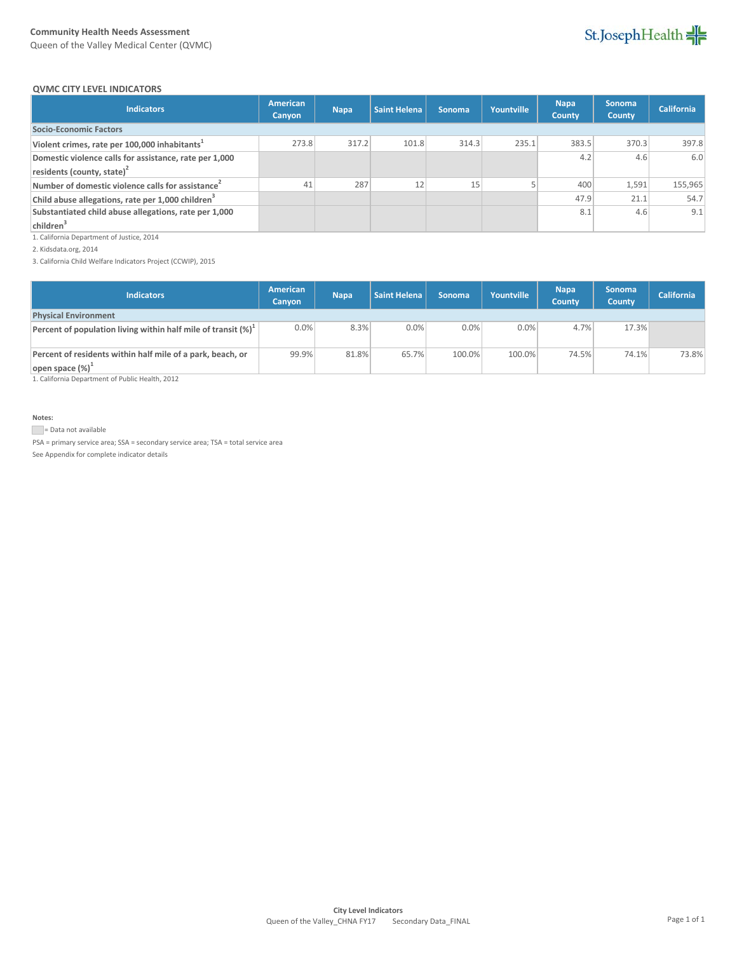Queen of the Valley Medical Center (QVMC)



#### **QVMC CITY LEVEL INDICATORS**

| <b>Indicators</b>                                             | American<br>Canyon | <b>Napa</b> | Saint Helena | Sonoma | Yountville | <b>Napa</b><br>County | <b>Sonoma</b><br><b>County</b> | <b>California</b> |
|---------------------------------------------------------------|--------------------|-------------|--------------|--------|------------|-----------------------|--------------------------------|-------------------|
| <b>Socio-Economic Factors</b>                                 |                    |             |              |        |            |                       |                                |                   |
| Violent crimes, rate per 100,000 inhabitants <sup>1</sup>     | 273.8              | 317.2       | 101.8        | 314.3  | 235.1      | 383.5                 | 370.3                          | 397.8             |
| Domestic violence calls for assistance, rate per 1,000        |                    |             |              |        |            | 4.2                   | 4.6                            | 6.0               |
| residents (county, state) $2$                                 |                    |             |              |        |            |                       |                                |                   |
| Number of domestic violence calls for assistance <sup>2</sup> | 41                 | 287         | 12           |        |            | 400                   | 1,591                          | 155,965           |
| Child abuse allegations, rate per 1,000 children <sup>3</sup> |                    |             |              |        |            | 47.9                  | 21.1                           | 54.7              |
| Substantiated child abuse allegations, rate per 1,000         |                    |             |              |        |            | 8.1                   | 4.6                            | 9.1               |
| children <sup>3</sup>                                         |                    |             |              |        |            |                       |                                |                   |

1. California Department of Justice, 2014

2. Kidsdata.org, 2014

3. California Child Welfare Indicators Project (CCWIP), 2015

| <b>Indicators</b>                                                                 | American<br>Canyon | <b>Napa</b> | <b>Saint Helena</b> | <b>Sonoma</b> | Yountville | <b>Napa</b><br><b>County</b> | <b>Sonoma</b><br><b>County</b> | <b>California</b> |
|-----------------------------------------------------------------------------------|--------------------|-------------|---------------------|---------------|------------|------------------------------|--------------------------------|-------------------|
| <b>Physical Environment</b>                                                       |                    |             |                     |               |            |                              |                                |                   |
| Percent of population living within half mile of transit $(\%)^{\perp}$           | 0.0%               | 8.3%        | 0.0%                | 0.0%          | 0.0%       | 4.7%                         | 17.3%                          |                   |
| Percent of residents within half mile of a park, beach, or<br>open space $(\%)^1$ | 99.9%              | 81.8%       | 65.7%               | 100.0%        | 100.0%     | 74.5%                        | 74.1%                          | 73.8%             |

1. California Department of Public Health, 2012

#### **Notes:**

Data not available

PSA = primary service area; SSA = secondary service area; TSA = total service area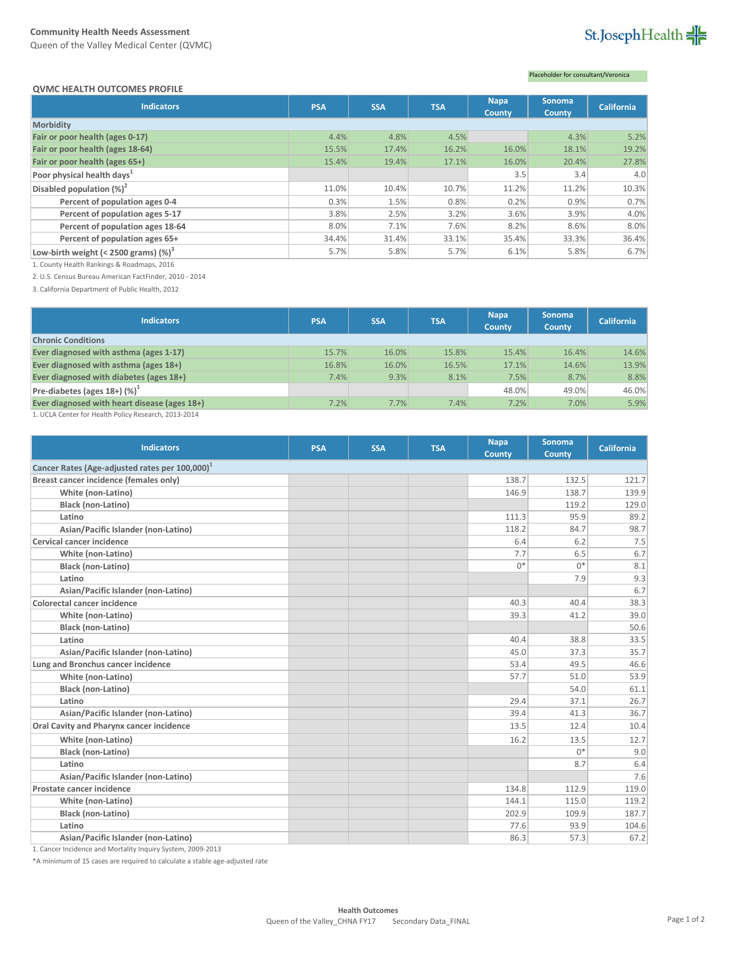Queen of the Valley Medical Center (QVMC)

# St.JosephHealth

#### **QVMC HEALTH OUTCOMES PROFILE**

### Placeholder for consultant/Veronica

| <b>Indicators</b>                        | <b>PSA</b> | <b>SSA</b> | <b>TSA</b> | <b>Napa</b><br><b>County</b> | <b>Sonoma</b><br>County | <b>California</b> |
|------------------------------------------|------------|------------|------------|------------------------------|-------------------------|-------------------|
| Morbidity                                |            |            |            |                              |                         |                   |
| Fair or poor health (ages 0-17)          | 4.4%       | 4.8%       | 4.5%       |                              | 4.3%                    | 5.2%              |
| Fair or poor health (ages 18-64)         | 15.5%      | 17.4%      | 16.2%      | 16.0%                        | 18.1%                   | 19.2%             |
| Fair or poor health (ages 65+)           | 15.4%      | 19.4%      | 17.1%      | 16.0%                        | 20.4%                   | 27.8%             |
| Poor physical health days <sup>1</sup>   |            |            |            | 3.5                          | 3.4                     | 4.0               |
| Disabled population $(\%)^2$             | 11.0%      | 10.4%      | 10.7%      | 11.2%                        | 11.2%                   | 10.3%             |
| Percent of population ages 0-4           | 0.3%       | 1.5%       | 0.8%       | 0.2%                         | 0.9%                    | 0.7%              |
| Percent of population ages 5-17          | 3.8%       | 2.5%       | 3.2%       | 3.6%                         | 3.9%                    | 4.0%              |
| Percent of population ages 18-64         | 8.0%       | 7.1%       | 7.6%       | 8.2%                         | 8.6%                    | 8.0%              |
| Percent of population ages 65+           | 34.4%      | 31.4%      | 33.1%      | 35.4%                        | 33.3%                   | 36.4%             |
| Low-birth weight (< 2500 grams) $(\%)^3$ | 5.7%       | 5.8%       | 5.7%       | 6.1%                         | 5.8%                    | 6.7%              |

1. County Health Rankings & Roadmaps, 2016

2. U.S. Census Bureau American FactFinder, 2010 - 2014

3. California Department of Public Health, 2012

| <b>PSA</b> | <b>SSA</b> | <b>TSA</b> | <b>Napa</b><br><b>County</b> | <b>Sonoma</b><br>County | <b>California</b> |
|------------|------------|------------|------------------------------|-------------------------|-------------------|
|            |            |            |                              |                         |                   |
| 15.7%      | 16.0%      | 15.8%      | 15.4%                        | 16.4%                   | 14.6%             |
| 16.8%      | 16.0%      | 16.5%      | 17.1%                        | 14.6%                   | 13.9%             |
| 7.4%       | 9.3%       | 8.1%       | 7.5%                         | 8.7%                    | 8.8%              |
|            |            |            | 48.0%                        | 49.0%                   | 46.0%             |
| 7.2%       | 7.7%       | 7.4%       | 7.2%                         | 7.0%                    | 5.9%              |
|            |            |            |                              |                         |                   |

1. UCLA Center for Health Policy Research, 2013-2014

| <b>Indicators</b>                                           | <b>PSA</b> | <b>SSA</b> | <b>TSA</b> | <b>Napa</b><br>County | <b>Sonoma</b><br><b>County</b> | <b>California</b> |
|-------------------------------------------------------------|------------|------------|------------|-----------------------|--------------------------------|-------------------|
| Cancer Rates (Age-adjusted rates per 100,000) <sup>1</sup>  |            |            |            |                       |                                |                   |
| Breast cancer incidence (females only)                      |            |            |            | 138.7                 | 132.5                          | 121.7             |
| White (non-Latino)                                          |            |            |            | 146.9                 | 138.7                          | 139.9             |
| Black (non-Latino)                                          |            |            |            |                       | 119.2                          | 129.0             |
| Latino                                                      |            |            |            | 111.3                 | 95.9                           | 89.2              |
| Asian/Pacific Islander (non-Latino)                         |            |            |            | 118.2                 | 84.7                           | 98.7              |
| <b>Cervical cancer incidence</b>                            |            |            |            | 6.4                   | 6.2                            | 7.5               |
| White (non-Latino)                                          |            |            |            | 7.7                   | 6.5                            | 6.7               |
| Black (non-Latino)                                          |            |            |            | $0*$                  | $0*$                           | 8.1               |
| Latino                                                      |            |            |            |                       | 7.9                            | 9.3               |
| Asian/Pacific Islander (non-Latino)                         |            |            |            |                       |                                | 6.7               |
| <b>Colorectal cancer incidence</b>                          |            |            |            | 40.3                  | 40.4                           | 38.3              |
| White (non-Latino)                                          |            |            |            | 39.3                  | 41.2                           | 39.0              |
| <b>Black (non-Latino)</b>                                   |            |            |            |                       |                                | 50.6              |
| Latino                                                      |            |            |            | 40.4                  | 38.8                           | 33.5              |
| Asian/Pacific Islander (non-Latino)                         |            |            |            | 45.0                  | 37.3                           | 35.7              |
| Lung and Bronchus cancer incidence                          |            |            |            | 53.4                  | 49.5                           | 46.6              |
| White (non-Latino)                                          |            |            |            | 57.7                  | 51.0                           | 53.9              |
| <b>Black (non-Latino)</b>                                   |            |            |            |                       | 54.0                           | 61.1              |
| Latino                                                      |            |            |            | 29.4                  | 37.1                           | 26.7              |
| Asian/Pacific Islander (non-Latino)                         |            |            |            | 39.4                  | 41.3                           | 36.7              |
| Oral Cavity and Pharynx cancer incidence                    |            |            |            | 13.5                  | 12.4                           | 10.4              |
| White (non-Latino)                                          |            |            |            | 16.2                  | 13.5                           | 12.7              |
| <b>Black (non-Latino)</b>                                   |            |            |            |                       | $0^*$                          | 9.0               |
| Latino                                                      |            |            |            |                       | 8.7                            | 6.4               |
| Asian/Pacific Islander (non-Latino)                         |            |            |            |                       |                                | 7.6               |
| Prostate cancer incidence                                   |            |            |            | 134.8                 | 112.9                          | 119.0             |
| White (non-Latino)                                          |            |            |            | 144.1                 | 115.0                          | 119.2             |
| <b>Black (non-Latino)</b>                                   |            |            |            | 202.9                 | 109.9                          | 187.7             |
| Latino                                                      |            |            |            | 77.6                  | 93.9                           | 104.6             |
| Asian/Pacific Islander (non-Latino)                         |            |            |            | 86.3                  | 57.3                           | 67.2              |
| 1. Cancer Incidence and Mortality Inquiry System, 2009-2013 |            |            |            |                       |                                |                   |

\*A minimum of 15 cases are required to calculate a stable age-adjusted rate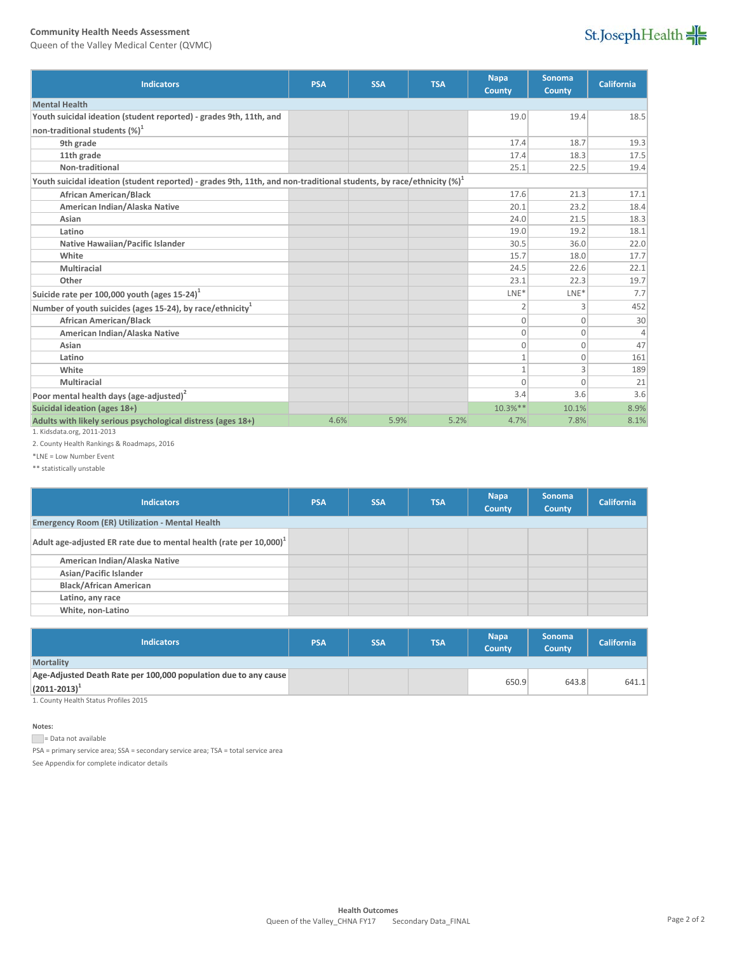Queen of the Valley Medical Center (QVMC)



| <b>Indicators</b>                                                                                                       | <b>PSA</b> | <b>SSA</b> | <b>TSA</b> | <b>Napa</b><br><b>County</b> | <b>Sonoma</b><br><b>County</b> | <b>California</b> |
|-------------------------------------------------------------------------------------------------------------------------|------------|------------|------------|------------------------------|--------------------------------|-------------------|
| <b>Mental Health</b>                                                                                                    |            |            |            |                              |                                |                   |
| Youth suicidal ideation (student reported) - grades 9th, 11th, and                                                      |            |            |            | 19.0                         | 19.4                           | 18.5              |
| non-traditional students $(\%)^1$                                                                                       |            |            |            |                              |                                |                   |
| 9th grade                                                                                                               |            |            |            | 17.4                         | 18.7                           | 19.3              |
| 11th grade                                                                                                              |            |            |            | 17.4                         | 18.3                           | 17.5              |
| Non-traditional                                                                                                         |            |            |            | 25.1                         | 22.5                           | 19.4              |
| Youth suicidal ideation (student reported) - grades 9th, 11th, and non-traditional students, by race/ethnicity $(\%)^1$ |            |            |            |                              |                                |                   |
| <b>African American/Black</b>                                                                                           |            |            |            | 17.6                         | 21.3                           | 17.1              |
| American Indian/Alaska Native                                                                                           |            |            |            | 20.1                         | 23.2                           | 18.4              |
| Asian                                                                                                                   |            |            |            | 24.0                         | 21.5                           | 18.3              |
| Latino                                                                                                                  |            |            |            | 19.0                         | 19.2                           | 18.1              |
| Native Hawaiian/Pacific Islander                                                                                        |            |            |            | 30.5                         | 36.0                           | 22.0              |
| White                                                                                                                   |            |            |            | 15.7                         | 18.0                           | 17.7              |
| <b>Multiracial</b>                                                                                                      |            |            |            | 24.5                         | 22.6                           | 22.1              |
| Other                                                                                                                   |            |            |            | 23.1                         | 22.3                           | 19.7              |
| Suicide rate per 100,000 youth (ages $15-24$ ) <sup>1</sup>                                                             |            |            |            | $LNE*$                       | $LNE*$                         | 7.7               |
| Number of youth suicides (ages 15-24), by race/ethnicity <sup>1</sup>                                                   |            |            |            | 2                            | 3                              | 452               |
| <b>African American/Black</b>                                                                                           |            |            |            | $\Omega$                     | $\Omega$                       | 30                |
| American Indian/Alaska Native                                                                                           |            |            |            | $\Omega$                     | $\Omega$                       | 4                 |
| Asian                                                                                                                   |            |            |            | $\mathbf{0}$                 | $\Omega$                       | 47                |
| Latino                                                                                                                  |            |            |            | $\mathbf{1}$                 | $\Omega$                       | 161               |
| White                                                                                                                   |            |            |            | $\mathbf{1}$                 | 3                              | 189               |
| Multiracial                                                                                                             |            |            |            | $\Omega$                     | $\Omega$                       | 21                |
| Poor mental health days (age-adjusted) <sup>2</sup>                                                                     |            |            |            | 3.4                          | 3.6                            | 3.6               |
| Suicidal ideation (ages 18+)                                                                                            |            |            |            | $10.3%$ **                   | 10.1%                          | 8.9%              |
| Adults with likely serious psychological distress (ages 18+)                                                            | 4.6%       | 5.9%       | 5.2%       | 4.7%                         | 7.8%                           | 8.1%              |
| 1. Kidsdata.org, 2011-2013                                                                                              |            |            |            |                              |                                |                   |

2. County Health Rankings & Roadmaps, 2016

\*LNE = Low Number Event

\*\* statistically unstable

| <b>Indicators</b>                                                            | <b>PSA</b> | <b>SSA</b> | <b>TSA</b> | <b>Napa</b><br><b>County</b> | <b>Sonoma</b><br><b>County</b> | <b>California</b> |
|------------------------------------------------------------------------------|------------|------------|------------|------------------------------|--------------------------------|-------------------|
| <b>Emergency Room (ER) Utilization - Mental Health</b>                       |            |            |            |                              |                                |                   |
| Adult age-adjusted ER rate due to mental health (rate per $10,000$ ) $^{-1}$ |            |            |            |                              |                                |                   |
| American Indian/Alaska Native                                                |            |            |            |                              |                                |                   |
| Asian/Pacific Islander                                                       |            |            |            |                              |                                |                   |
| <b>Black/African American</b>                                                |            |            |            |                              |                                |                   |
| Latino, any race                                                             |            |            |            |                              |                                |                   |
| White, non-Latino                                                            |            |            |            |                              |                                |                   |

| <b>Indicators</b>                                               | <b>PSA</b> | <b>SSA</b> | <b>TSA</b> | <b>Napa</b><br><b>County</b> | <b>Sonoma</b><br><b>County</b> | <b>California</b> |
|-----------------------------------------------------------------|------------|------------|------------|------------------------------|--------------------------------|-------------------|
| <b>Mortality</b>                                                |            |            |            |                              |                                |                   |
| Age-Adjusted Death Rate per 100,000 population due to any cause |            |            |            |                              |                                |                   |
| $(2011 - 2013)^{1}$                                             |            |            |            | 650.9                        | 643.8                          | 641.1             |
| 1. County Health Status Profiles 2015                           |            |            |            |                              |                                |                   |

**Notes:**

Data not available

PSA = primary service area; SSA = secondary service area; TSA = total service area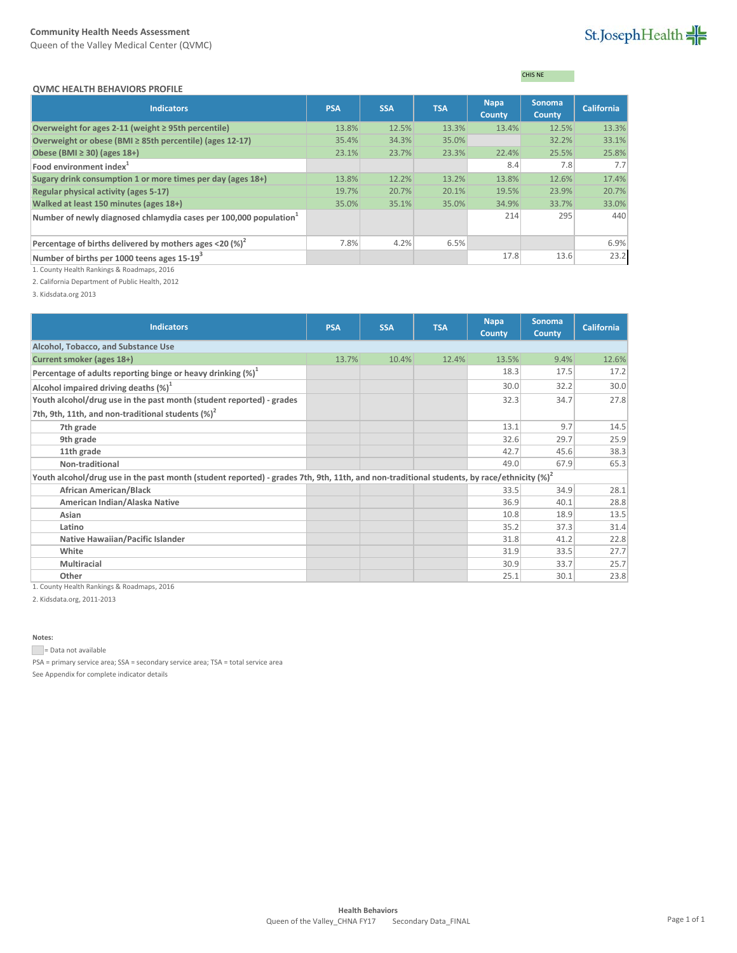Queen of the Valley Medical Center (QVMC)

## St.JosephHealth

### CHIS NE

| <b>Indicators</b>                                                             | <b>PSA</b> | <b>SSA</b> | <b>TSA</b> | <b>Napa</b><br><b>County</b> | <b>Sonoma</b><br><b>County</b> | <b>California</b> |
|-------------------------------------------------------------------------------|------------|------------|------------|------------------------------|--------------------------------|-------------------|
| Overweight for ages 2-11 (weight $\geq$ 95th percentile)                      | 13.8%      | 12.5%      | 13.3%      | 13.4%                        | 12.5%                          | 13.3%             |
| Overweight or obese (BMI ≥ 85th percentile) (ages 12-17)                      | 35.4%      | 34.3%      | 35.0%      |                              | 32.2%                          | 33.1%             |
| Obese (BMI $\geq$ 30) (ages 18+)                                              | 23.1%      | 23.7%      | 23.3%      | 22.4%                        | 25.5%                          | 25.8%             |
| Food environment index <sup>1</sup>                                           |            |            |            | 8.4                          | 7.8                            | 7.7               |
| Sugary drink consumption 1 or more times per day (ages 18+)                   | 13.8%      | 12.2%      | 13.2%      | 13.8%                        | 12.6%                          | 17.4%             |
| Regular physical activity (ages 5-17)                                         | 19.7%      | 20.7%      | 20.1%      | 19.5%                        | 23.9%                          | 20.7%             |
| Walked at least 150 minutes (ages 18+)                                        | 35.0%      | 35.1%      | 35.0%      | 34.9%                        | 33.7%                          | 33.0%             |
| Number of newly diagnosed chlamydia cases per 100,000 population <sup>1</sup> |            |            |            | 214                          | 295                            | 440               |
| Percentage of births delivered by mothers ages <20 $\left(\% \right)^2$       | 7.8%       | 4.2%       | 6.5%       |                              |                                | 6.9%              |
| Number of births per 1000 teens ages 15-19 <sup>3</sup>                       |            |            |            | 17.8                         | 13.6                           | 23.2              |

1. County Health Rankings & Roadmaps, 2016

2. California Department of Public Health, 2012

3. Kidsdata.org 2013

| <b>Indicators</b>                                                                                                                             | <b>PSA</b> | <b>SSA</b> | <b>TSA</b> | <b>Napa</b><br><b>County</b> | <b>Sonoma</b><br><b>County</b> | <b>California</b> |
|-----------------------------------------------------------------------------------------------------------------------------------------------|------------|------------|------------|------------------------------|--------------------------------|-------------------|
| Alcohol, Tobacco, and Substance Use                                                                                                           |            |            |            |                              |                                |                   |
| Current smoker (ages 18+)                                                                                                                     | 13.7%      | 10.4%      | 12.4%      | 13.5%                        | 9.4%                           | 12.6%             |
| Percentage of adults reporting binge or heavy drinking $(\%)^1$                                                                               |            |            |            | 18.3                         | 17.5                           | 17.2              |
| Alcohol impaired driving deaths $(\%)^1$                                                                                                      |            |            |            | 30.0                         | 32.2                           | 30.0              |
| Youth alcohol/drug use in the past month (student reported) - grades                                                                          |            |            |            | 32.3                         | 34.7                           | 27.8              |
| 7th, 9th, 11th, and non-traditional students $(\%)^2$                                                                                         |            |            |            |                              |                                |                   |
| 7th grade                                                                                                                                     |            |            |            | 13.1                         | 9.7                            | 14.5              |
| 9th grade                                                                                                                                     |            |            |            | 32.6                         | 29.7                           | 25.9              |
| 11th grade                                                                                                                                    |            |            |            | 42.7                         | 45.6                           | 38.3              |
| Non-traditional                                                                                                                               |            |            |            | 49.0                         | 67.9                           | 65.3              |
| Youth alcohol/drug use in the past month (student reported) - grades 7th, 9th, 11th, and non-traditional students, by race/ethnicity $(\%)^2$ |            |            |            |                              |                                |                   |
| <b>African American/Black</b>                                                                                                                 |            |            |            | 33.5                         | 34.9                           | 28.1              |
| American Indian/Alaska Native                                                                                                                 |            |            |            | 36.9                         | 40.1                           | 28.8              |
| Asian                                                                                                                                         |            |            |            | 10.8                         | 18.9                           | 13.5              |
| Latino                                                                                                                                        |            |            |            | 35.2                         | 37.3                           | 31.4              |
| Native Hawaiian/Pacific Islander                                                                                                              |            |            |            | 31.8                         | 41.2                           | 22.8              |
| White                                                                                                                                         |            |            |            | 31.9                         | 33.5                           | 27.7              |
| <b>Multiracial</b>                                                                                                                            |            |            |            | 30.9                         | 33.7                           | 25.7              |
| Other                                                                                                                                         |            |            |            | 25.1                         | 30.1                           | 23.8              |

1. County Health Rankings & Roadmaps, 2016

2. Kidsdata.org, 2011-2013

**Notes:**

Data not available

PSA = primary service area; SSA = secondary service area; TSA = total service area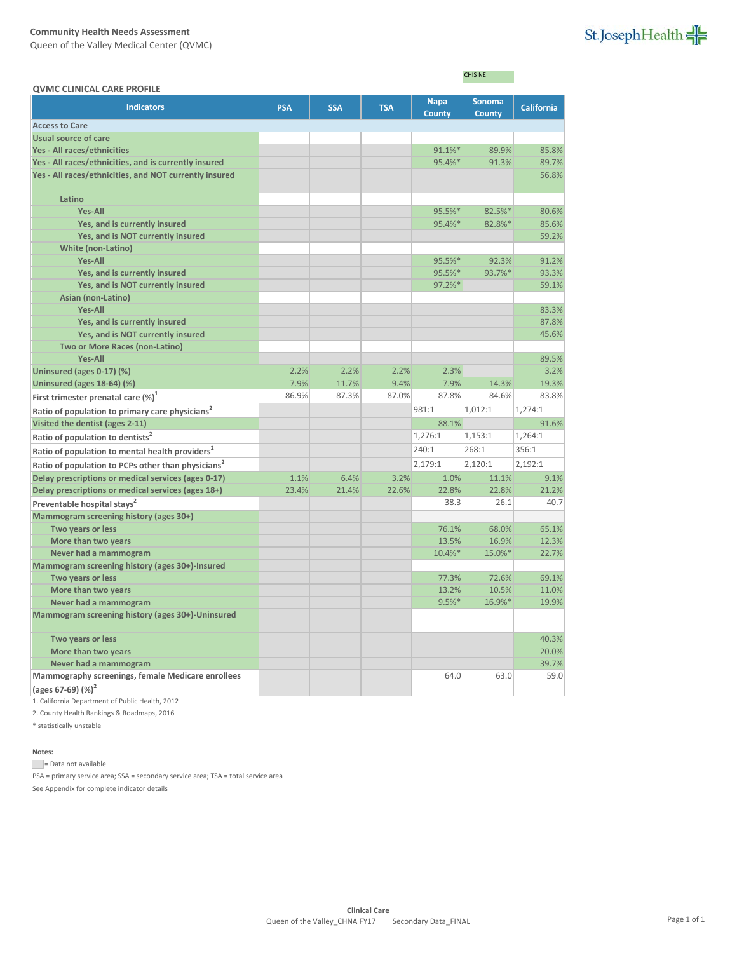Queen of the Valley Medical Center (QVMC)

| St.JosephHealth |  |  |
|-----------------|--|--|
|                 |  |  |

|                                                                |            |            |            |             | CHIS NE       |                   |
|----------------------------------------------------------------|------------|------------|------------|-------------|---------------|-------------------|
| <b>QVMC CLINICAL CARE PROFILE</b><br><b>Indicators</b>         | <b>PSA</b> | <b>SSA</b> | <b>TSA</b> | <b>Napa</b> | <b>Sonoma</b> | <b>California</b> |
|                                                                |            |            |            | County      | <b>County</b> |                   |
| <b>Access to Care</b>                                          |            |            |            |             |               |                   |
| <b>Usual source of care</b>                                    |            |            |            |             |               |                   |
| Yes - All races/ethnicities                                    |            |            |            | 91.1%*      | 89.9%         | 85.8%             |
| Yes - All races/ethnicities, and is currently insured          |            |            |            | 95.4%       | 91.3%         | 89.7%             |
| Yes - All races/ethnicities, and NOT currently insured         |            |            |            |             |               | 56.8%             |
| Latino                                                         |            |            |            |             |               |                   |
| <b>Yes-All</b>                                                 |            |            |            | 95.5%*      | $82.5%$ *     | 80.6%             |
| Yes, and is currently insured                                  |            |            |            | 95.4%       | 82.8%*        | 85.6%             |
| Yes, and is NOT currently insured                              |            |            |            |             |               | 59.2%             |
| <b>White (non-Latino)</b>                                      |            |            |            |             |               |                   |
| <b>Yes-All</b>                                                 |            |            |            | 95.5%*      | 92.3%         | 91.2%             |
| Yes, and is currently insured                                  |            |            |            | 95.5%*      | 93.7%*        | 93.3%             |
| Yes, and is NOT currently insured                              |            |            |            | 97.2%*      |               | 59.1%             |
| Asian (non-Latino)                                             |            |            |            |             |               |                   |
| <b>Yes-All</b>                                                 |            |            |            |             |               | 83.3%             |
| Yes, and is currently insured                                  |            |            |            |             |               | 87.8%             |
| Yes, and is NOT currently insured                              |            |            |            |             |               | 45.6%             |
| <b>Two or More Races (non-Latino)</b>                          |            |            |            |             |               |                   |
| <b>Yes-All</b>                                                 |            |            |            |             |               | 89.5%             |
| Uninsured (ages 0-17) (%)                                      | 2.2%       | 2.2%       | 2.2%       | 2.3%        |               | 3.2%              |
| <b>Uninsured (ages 18-64) (%)</b>                              | 7.9%       | 11.7%      | 9.4%       | 7.9%        | 14.3%         | 19.3%             |
| First trimester prenatal care $(\%)^{\perp}$                   | 86.9%      | 87.3%      | 87.0%      | 87.8%       | 84.6%         | 83.8%             |
| Ratio of population to primary care physicians <sup>2</sup>    |            |            |            | 981:1       | 1,012:1       | 1.274:1           |
| Visited the dentist (ages 2-11)                                |            |            |            | 88.1%       |               | 91.6%             |
| Ratio of population to dentists <sup>2</sup>                   |            |            |            | 1,276:1     | 1,153:1       | 1,264:1           |
| Ratio of population to mental health providers <sup>2</sup>    |            |            |            | 240:1       | 268:1         | 356:1             |
| Ratio of population to PCPs other than physicians <sup>2</sup> |            |            |            | 2,179:1     | 2,120:1       | 2,192:1           |
| Delay prescriptions or medical services (ages 0-17)            | 1.1%       | 6.4%       | 3.2%       | 1.0%        | 11.1%         | 9.1%              |
| Delay prescriptions or medical services (ages 18+)             | 23.4%      | 21.4%      | 22.6%      | 22.8%       | 22.8%         | 21.2%             |
| Preventable hospital stays <sup>2</sup>                        |            |            |            | 38.3        | 26.1          | 40.7              |
| Mammogram screening history (ages 30+)                         |            |            |            |             |               |                   |
| Two years or less                                              |            |            |            | 76.1%       | 68.0%         | 65.1%             |
| More than two years                                            |            |            |            | 13.5%       | 16.9%         | 12.3%             |
| Never had a mammogram                                          |            |            |            | 10.4%*      | 15.0%*        | 22.7%             |
| Mammogram screening history (ages 30+)-Insured                 |            |            |            |             |               |                   |
| Two years or less                                              |            |            |            | 77.3%       | 72.6%         | 69.1%             |
| More than two years                                            |            |            |            | 13.2%       | 10.5%         | 11.0%             |
| Never had a mammogram                                          |            |            |            | $9.5%$ *    | 16.9%*        | 19.9%             |
| Mammogram screening history (ages 30+)-Uninsured               |            |            |            |             |               |                   |
| Two years or less                                              |            |            |            |             |               | 40.3%             |
| More than two years                                            |            |            |            |             |               | 20.0%             |
| Never had a mammogram                                          |            |            |            |             |               | 39.7%             |
| Mammography screenings, female Medicare enrollees              |            |            |            | 64.0        | 63.0          | 59.0              |
| (ages 67-69) (%) <sup>2</sup>                                  |            |            |            |             |               |                   |
|                                                                |            |            |            |             |               |                   |

1. California Department of Public Health, 2012

2. County Health Rankings & Roadmaps, 2016

\* statistically unstable

**Notes:**

Data not available

PSA = primary service area; SSA = secondary service area; TSA = total service area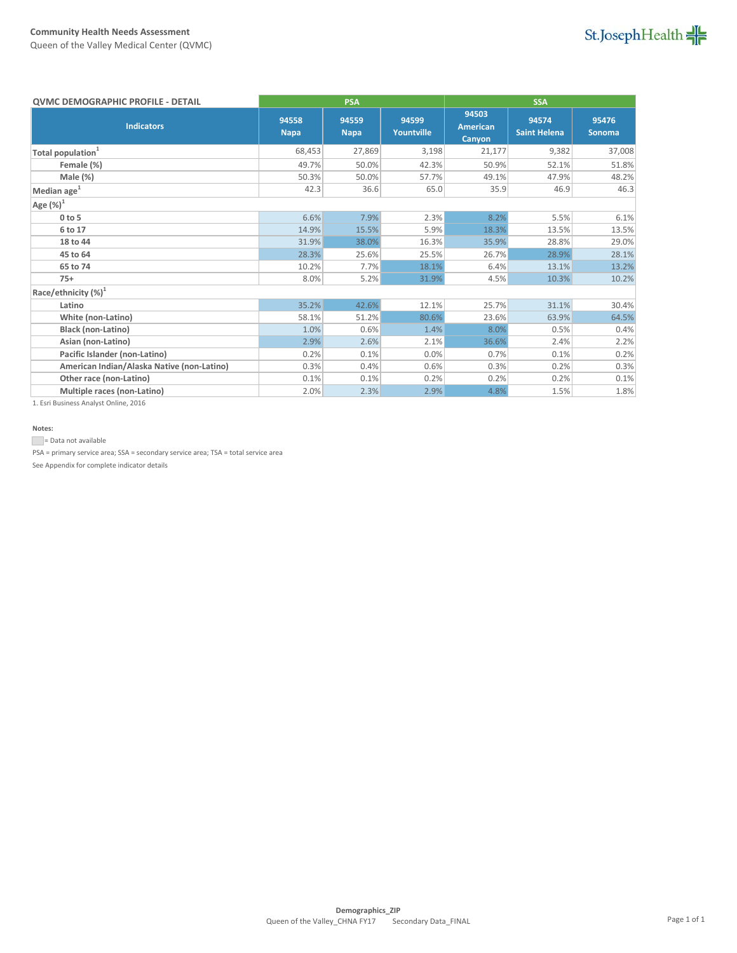Queen of the Valley Medical Center (QVMC)

| <b>QVMC DEMOGRAPHIC PROFILE - DETAIL</b>   | <b>PSA</b><br><b>SSA</b> |                      |                     |                                    |                              |                        |
|--------------------------------------------|--------------------------|----------------------|---------------------|------------------------------------|------------------------------|------------------------|
| <b>Indicators</b>                          | 94558<br><b>Napa</b>     | 94559<br><b>Napa</b> | 94599<br>Yountville | 94503<br><b>American</b><br>Canyon | 94574<br><b>Saint Helena</b> | 95476<br><b>Sonoma</b> |
| Total population <sup>1</sup>              | 68,453                   | 27,869               | 3,198               | 21,177                             | 9,382                        | 37,008                 |
| Female (%)                                 | 49.7%                    | 50.0%                | 42.3%               | 50.9%                              | 52.1%                        | 51.8%                  |
| Male (%)                                   | 50.3%                    | 50.0%                | 57.7%               | 49.1%                              | 47.9%                        | 48.2%                  |
| Median age $^1$                            | 42.3                     | 36.6                 | 65.0                | 35.9                               | 46.9                         | 46.3                   |
| Age $(\%)^1$                               |                          |                      |                     |                                    |                              |                        |
| $0$ to $5$                                 | 6.6%                     | 7.9%                 | 2.3%                | 8.2%                               | 5.5%                         | 6.1%                   |
| 6 to 17                                    | 14.9%                    | 15.5%                | 5.9%                | 18.3%                              | 13.5%                        | 13.5%                  |
| 18 to 44                                   | 31.9%                    | 38.0%                | 16.3%               | 35.9%                              | 28.8%                        | 29.0%                  |
| 45 to 64                                   | 28.3%                    | 25.6%                | 25.5%               | 26.7%                              | 28.9%                        | 28.1%                  |
| 65 to 74                                   | 10.2%                    | 7.7%                 | 18.1%               | 6.4%                               | 13.1%                        | 13.2%                  |
| $75+$                                      | 8.0%                     | 5.2%                 | 31.9%               | 4.5%                               | 10.3%                        | 10.2%                  |
| Race/ethnicity $(\%)^1$                    |                          |                      |                     |                                    |                              |                        |
| Latino                                     | 35.2%                    | 42.6%                | 12.1%               | 25.7%                              | 31.1%                        | 30.4%                  |
| White (non-Latino)                         | 58.1%                    | 51.2%                | 80.6%               | 23.6%                              | 63.9%                        | 64.5%                  |
| Black (non-Latino)                         | 1.0%                     | 0.6%                 | 1.4%                | 8.0%                               | 0.5%                         | 0.4%                   |
| Asian (non-Latino)                         | 2.9%                     | 2.6%                 | 2.1%                | 36.6%                              | 2.4%                         | 2.2%                   |
| Pacific Islander (non-Latino)              | 0.2%                     | 0.1%                 | 0.0%                | 0.7%                               | 0.1%                         | 0.2%                   |
| American Indian/Alaska Native (non-Latino) | 0.3%                     | 0.4%                 | 0.6%                | 0.3%                               | 0.2%                         | 0.3%                   |
| Other race (non-Latino)                    | 0.1%                     | 0.1%                 | 0.2%                | 0.2%                               | 0.2%                         | 0.1%                   |
| Multiple races (non-Latino)                | 2.0%                     | 2.3%                 | 2.9%                | 4.8%                               | 1.5%                         | 1.8%                   |

1. Esri Business Analyst Online, 2016

#### **Notes:**

Data not available

PSA = primary service area; SSA = secondary service area; TSA = total service area See Appendix for complete indicator details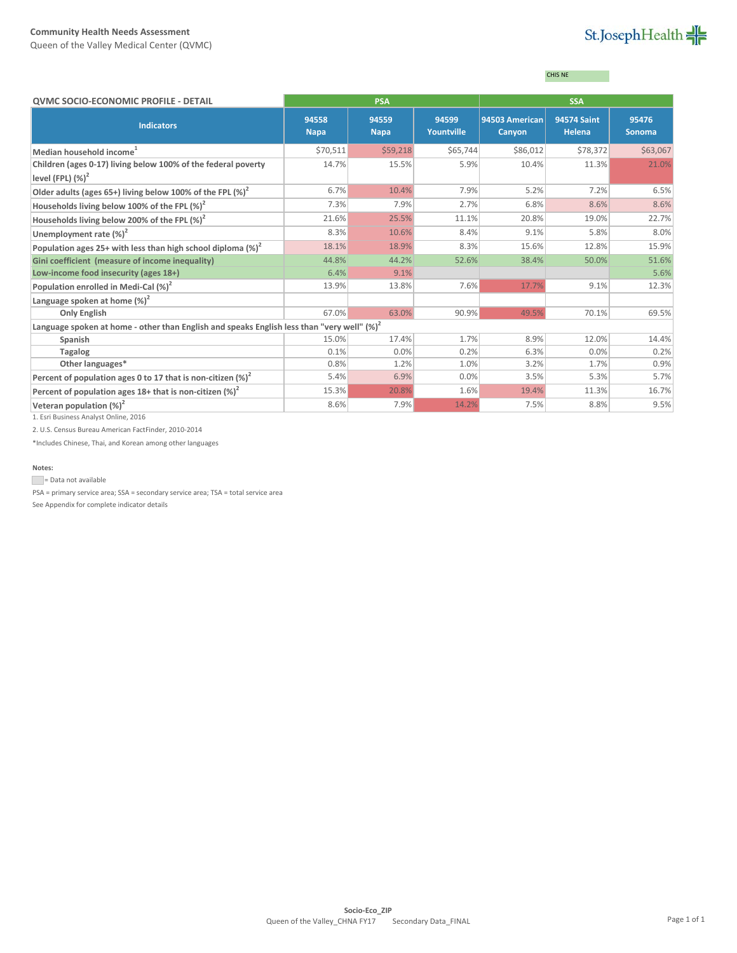Queen of the Valley Medical Center (QVMC)

# St.JosephHealth

### CHIS NE

| <b>QVMC SOCIO-ECONOMIC PROFILE - DETAIL</b>                                                    |                      | <b>PSA</b>           |                            |                          | <b>SSA</b>                   |                        |
|------------------------------------------------------------------------------------------------|----------------------|----------------------|----------------------------|--------------------------|------------------------------|------------------------|
| <b>Indicators</b>                                                                              | 94558<br><b>Napa</b> | 94559<br><b>Napa</b> | 94599<br><b>Yountville</b> | 94503 American<br>Canyon | <b>94574 Saint</b><br>Helena | 95476<br><b>Sonoma</b> |
| Median household income <sup>1</sup>                                                           | \$70,511             | \$59,218             | \$65,744                   | \$86,012                 | \$78,372                     | \$63,067               |
| Children (ages 0-17) living below 100% of the federal poverty<br>level (FPL) $(\%)^2$          | 14.7%                | 15.5%                | 5.9%                       | 10.4%                    | 11.3%                        | 21.0%                  |
| Older adults (ages 65+) living below 100% of the FPL $(\%)^2$                                  | 6.7%                 | 10.4%                | 7.9%                       | 5.2%                     | 7.2%                         | 6.5%                   |
| Households living below 100% of the FPL (%) <sup>2</sup>                                       | 7.3%                 | 7.9%                 | 2.7%                       | 6.8%                     | 8.6%                         | 8.6%                   |
| Households living below 200% of the FPL $(\%)^2$                                               | 21.6%                | 25.5%                | 11.1%                      | 20.8%                    | 19.0%                        | 22.7%                  |
| Unemployment rate $(\%)^2$                                                                     | 8.3%                 | 10.6%                | 8.4%                       | 9.1%                     | 5.8%                         | 8.0%                   |
| Population ages 25+ with less than high school diploma $(\%)^2$                                | 18.1%                | 18.9%                | 8.3%                       | 15.6%                    | 12.8%                        | 15.9%                  |
| Gini coefficient (measure of income inequality)                                                | 44.8%                | 44.2%                | 52.6%                      | 38.4%                    | 50.0%                        | 51.6%                  |
| Low-income food insecurity (ages 18+)                                                          | 6.4%                 | 9.1%                 |                            |                          |                              | 5.6%                   |
| Population enrolled in Medi-Cal (%) <sup>2</sup>                                               | 13.9%                | 13.8%                | 7.6%                       | 17.7%                    | 9.1%                         | 12.3%                  |
| Language spoken at home $(\%)^2$                                                               |                      |                      |                            |                          |                              |                        |
| <b>Only English</b>                                                                            | 67.0%                | 63.0%                | 90.9%                      | 49.5%                    | 70.1%                        | 69.5%                  |
| Language spoken at home - other than English and speaks English less than "very well" $(\%)^2$ |                      |                      |                            |                          |                              |                        |
| Spanish                                                                                        | 15.0%                | 17.4%                | 1.7%                       | 8.9%                     | 12.0%                        | 14.4%                  |
| <b>Tagalog</b>                                                                                 | 0.1%                 | 0.0%                 | 0.2%                       | 6.3%                     | 0.0%                         | 0.2%                   |
| Other languages*                                                                               | 0.8%                 | 1.2%                 | 1.0%                       | 3.2%                     | 1.7%                         | 0.9%                   |
| Percent of population ages 0 to 17 that is non-citizen $(\%)^2$                                | 5.4%                 | 6.9%                 | 0.0%                       | 3.5%                     | 5.3%                         | 5.7%                   |
| Percent of population ages $18+$ that is non-citizen (%) <sup>2</sup>                          | 15.3%                | 20.8%                | 1.6%                       | 19.4%                    | 11.3%                        | 16.7%                  |
| Veteran population $(\%)^2$                                                                    | 8.6%                 | 7.9%                 | 14.2%                      | 7.5%                     | 8.8%                         | 9.5%                   |
| 1. Esri Business Analyst Online, 2016                                                          |                      |                      |                            |                          |                              |                        |

2. U.S. Census Bureau American FactFinder, 2010-2014

\*Includes Chinese, Thai, and Korean among other languages

#### **Notes:**

Data not available

PSA = primary service area; SSA = secondary service area; TSA = total service area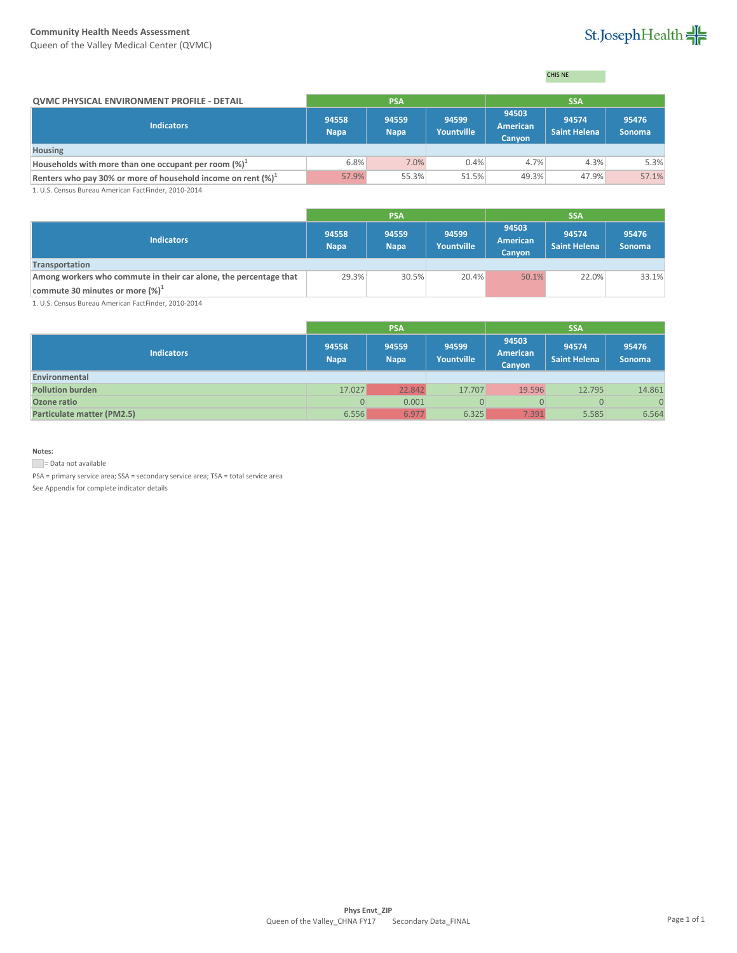Queen of the Valley Medical Center (QVMC)

# St.JosephHealth

CHIS NE

| <b>OVMC PHYSICAL ENVIRONMENT PROFILE - DETAIL</b>                                                                  | <b>PSA</b>           |                      |                            |                             |                              |                        |
|--------------------------------------------------------------------------------------------------------------------|----------------------|----------------------|----------------------------|-----------------------------|------------------------------|------------------------|
| <b>Indicators</b>                                                                                                  | 94558<br><b>Napa</b> | 94559<br><b>Napa</b> | 94599<br><b>Yountville</b> | 94503<br>American<br>Canyon | 94574<br><b>Saint Helena</b> | 95476<br><b>Sonoma</b> |
| <b>Housing</b>                                                                                                     |                      |                      |                            |                             |                              |                        |
| Households with more than one occupant per room $(\%)^{\perp}$                                                     | 6.8%                 | 7.0%                 | 0.4%                       | 4.7%                        | 4.3%                         | 5.3%                   |
| Renters who pay 30% or more of household income on rent $(\%)^1$                                                   | 57.9%                | 55.3%                | 51.5%                      | 49.3%                       | 47.9%                        | 57.1%                  |
| $A \cup C$ , $C \cup D$ , $D \cup D$ , $A \cup D$ , $C \cup D$ , $D \cup D$ , $A \cup D$ , $A \cup A$ , $A \cup A$ |                      |                      |                            |                             |                              |                        |

1. U.S. Census Bureau American FactFinder, 2010-2014

|                                                                   | <b>PSA</b>           |                      |                     | <b>SSA</b>                  |                              |                        |
|-------------------------------------------------------------------|----------------------|----------------------|---------------------|-----------------------------|------------------------------|------------------------|
| <b>Indicators</b>                                                 | 94558<br><b>Napa</b> | 94559<br><b>Napa</b> | 94599<br>Yountville | 94503<br>American<br>Canyon | 94574<br><b>Saint Helena</b> | 95476<br><b>Sonoma</b> |
| Transportation                                                    |                      |                      |                     |                             |                              |                        |
| Among workers who commute in their car alone, the percentage that | 29.3%                | 30.5%                | 20.4%               | 50.1%                       | 22.0%                        | 33.1%                  |
| commute 30 minutes or more (%) <sup>1</sup>                       |                      |                      |                     |                             |                              |                        |

1. U.S. Census Bureau American FactFinder, 2010-2014

|                            |                      | <b>PSA</b>           |                     | <b>SSA</b>                  |                              |                        |  |
|----------------------------|----------------------|----------------------|---------------------|-----------------------------|------------------------------|------------------------|--|
| <b>Indicators</b>          | 94558<br><b>Napa</b> | 94559<br><b>Napa</b> | 94599<br>Yountville | 94503<br>American<br>Canyon | 94574<br><b>Saint Helena</b> | 95476<br><b>Sonoma</b> |  |
| Environmental              |                      |                      |                     |                             |                              |                        |  |
| <b>Pollution burden</b>    | 17.027               | 22.842               | 17.707              | 19.596                      | 12.795                       | 14.861                 |  |
| Ozone ratio                | $\Omega$             | 0.001                | 0                   | $\Omega$                    | $\Omega$                     | $\overline{0}$         |  |
| Particulate matter (PM2.5) | 6.556                | 6.977                | 6.325               | 7.391                       | 5.585                        | 6.564                  |  |

#### **Notes:**

Data not available

PSA = primary service area; SSA = secondary service area; TSA = total service area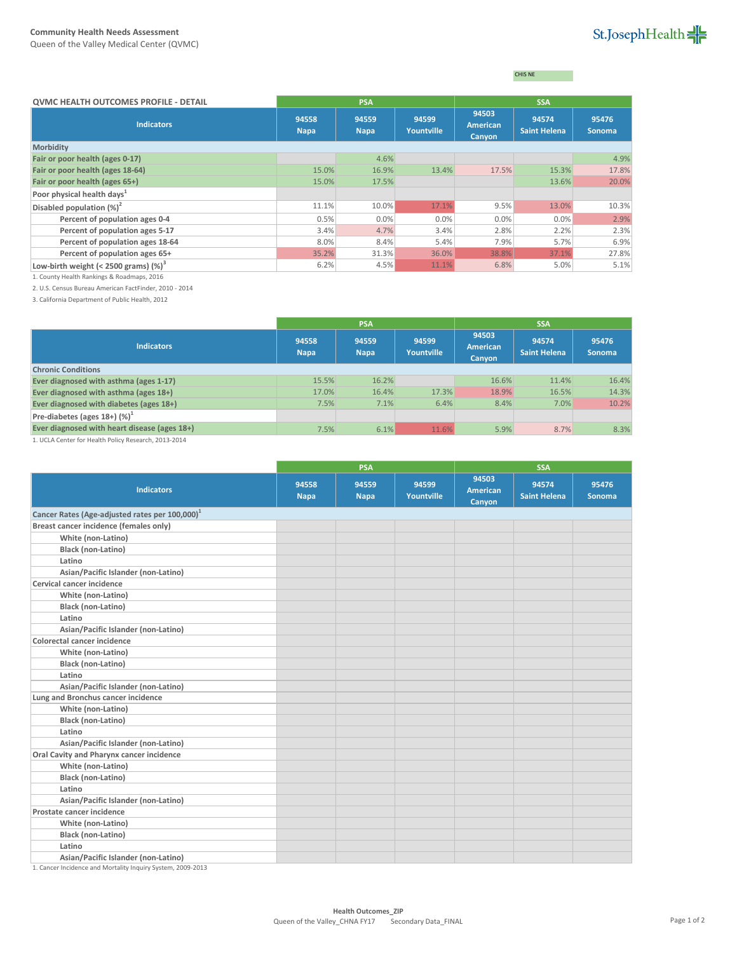CHIS NE

| <b>QVMC HEALTH OUTCOMES PROFILE - DETAIL</b> | <b>PSA</b>           |                      |                            |                                    | <b>SSA</b>            |                        |
|----------------------------------------------|----------------------|----------------------|----------------------------|------------------------------------|-----------------------|------------------------|
| <b>Indicators</b>                            | 94558<br><b>Napa</b> | 94559<br><b>Napa</b> | 94599<br><b>Yountville</b> | 94503<br><b>American</b><br>Canyon | 94574<br>Saint Helena | 95476<br><b>Sonoma</b> |
| Morbidity                                    |                      |                      |                            |                                    |                       |                        |
| Fair or poor health (ages 0-17)              |                      | 4.6%                 |                            |                                    |                       | 4.9%                   |
| Fair or poor health (ages 18-64)             | 15.0%                | 16.9%                | 13.4%                      | 17.5%                              | 15.3%                 | 17.8%                  |
| Fair or poor health (ages 65+)               | 15.0%                | 17.5%                |                            |                                    | 13.6%                 | 20.0%                  |
| Poor physical health days <sup>1</sup>       |                      |                      |                            |                                    |                       |                        |
| Disabled population (%) <sup>2</sup>         | 11.1%                | 10.0%                | 17.1%                      | 9.5%                               | 13.0%                 | 10.3%                  |
| Percent of population ages 0-4               | 0.5%                 | 0.0%                 | 0.0%                       | 0.0%                               | 0.0%                  | 2.9%                   |
| Percent of population ages 5-17              | 3.4%                 | 4.7%                 | 3.4%                       | 2.8%                               | 2.2%                  | 2.3%                   |
| Percent of population ages 18-64             | 8.0%                 | 8.4%                 | 5.4%                       | 7.9%                               | 5.7%                  | 6.9%                   |
| Percent of population ages 65+               | 35.2%                | 31.3%                | 36.0%                      | 38.8%                              | 37.1%                 | 27.8%                  |
| Low-birth weight $(<$ 2500 grams) $(\%)^3$   | 6.2%                 | 4.5%                 | 11.1%                      | 6.8%                               | 5.0%                  | 5.1%                   |

1. County Health Rankings & Roadmaps, 2016

2. U.S. Census Bureau American FactFinder, 2010 - 2014

3. California Department of Public Health, 2012

|                                              | <b>PSA</b>           |                      |                     | <b>SSA</b>                         |                              |                 |
|----------------------------------------------|----------------------|----------------------|---------------------|------------------------------------|------------------------------|-----------------|
| <b>Indicators</b>                            | 94558<br><b>Napa</b> | 94559<br><b>Napa</b> | 94599<br>Yountville | 94503<br><b>American</b><br>Canyon | 94574<br><b>Saint Helena</b> | 95476<br>Sonoma |
| <b>Chronic Conditions</b>                    |                      |                      |                     |                                    |                              |                 |
| Ever diagnosed with asthma (ages 1-17)       | 15.5%                | 16.2%                |                     | 16.6%                              | 11.4%                        | 16.4%           |
| Ever diagnosed with asthma (ages 18+)        | 17.0%                | 16.4%                | 17.3%               | 18.9%                              | 16.5%                        | 14.3%           |
| Ever diagnosed with diabetes (ages 18+)      | 7.5%                 | 7.1%                 | 6.4%                | 8.4%                               | 7.0%                         | 10.2%           |
| Pre-diabetes (ages $18+$ ) (%) <sup>1</sup>  |                      |                      |                     |                                    |                              |                 |
| Ever diagnosed with heart disease (ages 18+) | 7.5%                 | 6.1%                 | 11.6%               | 5.9%                               | 8.7%                         | 8.3%            |

1. UCLA Center for Health Policy Research, 2013-2014

|                                                             | <b>PSA</b>           |                      |                     | <b>SSA</b>                         |                              |                 |  |
|-------------------------------------------------------------|----------------------|----------------------|---------------------|------------------------------------|------------------------------|-----------------|--|
| <b>Indicators</b>                                           | 94558<br><b>Napa</b> | 94559<br><b>Napa</b> | 94599<br>Yountville | 94503<br><b>American</b><br>Canyon | 94574<br><b>Saint Helena</b> | 95476<br>Sonoma |  |
| Cancer Rates (Age-adjusted rates per 100,000) <sup>1</sup>  |                      |                      |                     |                                    |                              |                 |  |
| Breast cancer incidence (females only)                      |                      |                      |                     |                                    |                              |                 |  |
| White (non-Latino)                                          |                      |                      |                     |                                    |                              |                 |  |
| Black (non-Latino)                                          |                      |                      |                     |                                    |                              |                 |  |
| Latino                                                      |                      |                      |                     |                                    |                              |                 |  |
| Asian/Pacific Islander (non-Latino)                         |                      |                      |                     |                                    |                              |                 |  |
| Cervical cancer incidence                                   |                      |                      |                     |                                    |                              |                 |  |
| White (non-Latino)                                          |                      |                      |                     |                                    |                              |                 |  |
| Black (non-Latino)                                          |                      |                      |                     |                                    |                              |                 |  |
| Latino                                                      |                      |                      |                     |                                    |                              |                 |  |
| Asian/Pacific Islander (non-Latino)                         |                      |                      |                     |                                    |                              |                 |  |
| Colorectal cancer incidence                                 |                      |                      |                     |                                    |                              |                 |  |
| White (non-Latino)                                          |                      |                      |                     |                                    |                              |                 |  |
| <b>Black (non-Latino)</b>                                   |                      |                      |                     |                                    |                              |                 |  |
| Latino                                                      |                      |                      |                     |                                    |                              |                 |  |
| Asian/Pacific Islander (non-Latino)                         |                      |                      |                     |                                    |                              |                 |  |
| Lung and Bronchus cancer incidence                          |                      |                      |                     |                                    |                              |                 |  |
| White (non-Latino)                                          |                      |                      |                     |                                    |                              |                 |  |
| Black (non-Latino)                                          |                      |                      |                     |                                    |                              |                 |  |
| Latino                                                      |                      |                      |                     |                                    |                              |                 |  |
| Asian/Pacific Islander (non-Latino)                         |                      |                      |                     |                                    |                              |                 |  |
| Oral Cavity and Pharynx cancer incidence                    |                      |                      |                     |                                    |                              |                 |  |
| White (non-Latino)                                          |                      |                      |                     |                                    |                              |                 |  |
| Black (non-Latino)                                          |                      |                      |                     |                                    |                              |                 |  |
| Latino                                                      |                      |                      |                     |                                    |                              |                 |  |
| Asian/Pacific Islander (non-Latino)                         |                      |                      |                     |                                    |                              |                 |  |
| Prostate cancer incidence                                   |                      |                      |                     |                                    |                              |                 |  |
| White (non-Latino)                                          |                      |                      |                     |                                    |                              |                 |  |
| Black (non-Latino)                                          |                      |                      |                     |                                    |                              |                 |  |
| Latino                                                      |                      |                      |                     |                                    |                              |                 |  |
| Asian/Pacific Islander (non-Latino)                         |                      |                      |                     |                                    |                              |                 |  |
| 1. Cancer Incidence and Mortality Inquiry System, 2009-2013 |                      |                      |                     |                                    |                              |                 |  |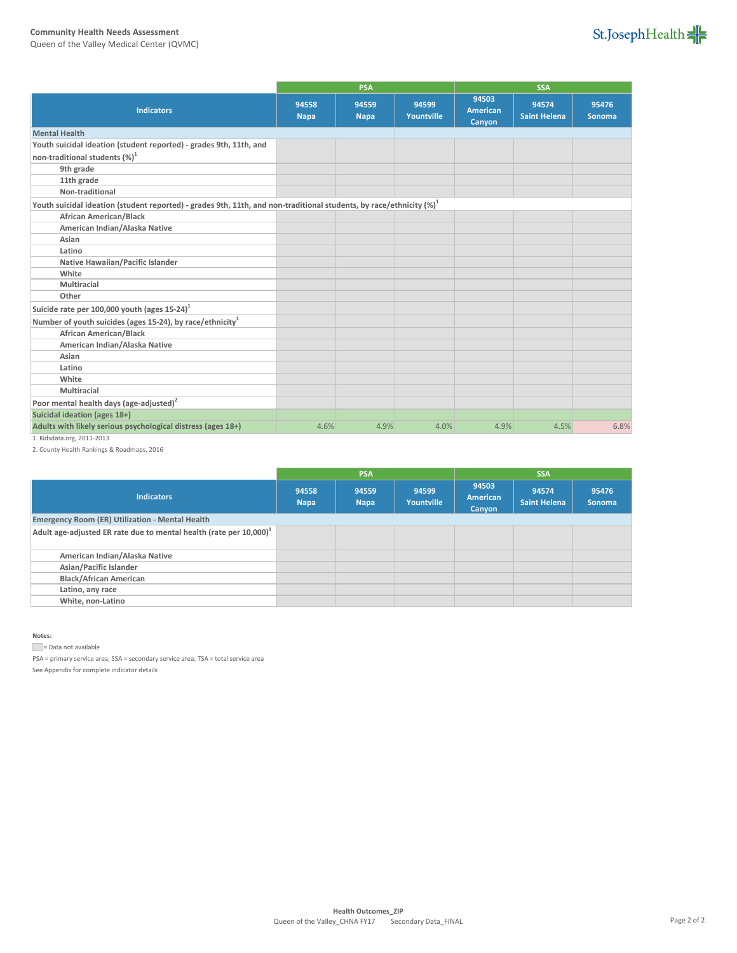Queen of the Valley Medical Center (QVMC)



|                                                                                                                         |                      | <b>PSA</b>           |                            | <b>SSA</b>                         |                              |                        |
|-------------------------------------------------------------------------------------------------------------------------|----------------------|----------------------|----------------------------|------------------------------------|------------------------------|------------------------|
| <b>Indicators</b>                                                                                                       | 94558<br><b>Napa</b> | 94559<br><b>Napa</b> | 94599<br><b>Yountville</b> | 94503<br><b>American</b><br>Canyon | 94574<br><b>Saint Helena</b> | 95476<br><b>Sonoma</b> |
| <b>Mental Health</b>                                                                                                    |                      |                      |                            |                                    |                              |                        |
| Youth suicidal ideation (student reported) - grades 9th, 11th, and                                                      |                      |                      |                            |                                    |                              |                        |
| non-traditional students (%) <sup>1</sup>                                                                               |                      |                      |                            |                                    |                              |                        |
| 9th grade                                                                                                               |                      |                      |                            |                                    |                              |                        |
| 11th grade                                                                                                              |                      |                      |                            |                                    |                              |                        |
| Non-traditional                                                                                                         |                      |                      |                            |                                    |                              |                        |
| Youth suicidal ideation (student reported) - grades 9th, 11th, and non-traditional students, by race/ethnicity $(\%)^1$ |                      |                      |                            |                                    |                              |                        |
| <b>African American/Black</b>                                                                                           |                      |                      |                            |                                    |                              |                        |
| American Indian/Alaska Native                                                                                           |                      |                      |                            |                                    |                              |                        |
| Asian                                                                                                                   |                      |                      |                            |                                    |                              |                        |
| Latino                                                                                                                  |                      |                      |                            |                                    |                              |                        |
| Native Hawaiian/Pacific Islander                                                                                        |                      |                      |                            |                                    |                              |                        |
| White                                                                                                                   |                      |                      |                            |                                    |                              |                        |
| Multiracial                                                                                                             |                      |                      |                            |                                    |                              |                        |
| Other                                                                                                                   |                      |                      |                            |                                    |                              |                        |
| Suicide rate per 100,000 youth (ages $15-24$ )                                                                          |                      |                      |                            |                                    |                              |                        |
| Number of youth suicides (ages 15-24), by race/ethnicity <sup>1</sup>                                                   |                      |                      |                            |                                    |                              |                        |
| <b>African American/Black</b>                                                                                           |                      |                      |                            |                                    |                              |                        |
| American Indian/Alaska Native                                                                                           |                      |                      |                            |                                    |                              |                        |
| Asian                                                                                                                   |                      |                      |                            |                                    |                              |                        |
| Latino                                                                                                                  |                      |                      |                            |                                    |                              |                        |
| White                                                                                                                   |                      |                      |                            |                                    |                              |                        |
| Multiracial                                                                                                             |                      |                      |                            |                                    |                              |                        |
| Poor mental health days (age-adjusted) <sup>2</sup>                                                                     |                      |                      |                            |                                    |                              |                        |
| Suicidal ideation (ages 18+)                                                                                            |                      |                      |                            |                                    |                              |                        |
| Adults with likely serious psychological distress (ages 18+)                                                            | 4.6%                 | 4.9%                 | 4.0%                       | 4.9%                               | 4.5%                         | 6.8%                   |

1. Kidsdata.org, 2011-2013

2. County Health Rankings & Roadmaps, 2016

|                                                                                | <b>PSA</b>           |                      |                            | <b>SSA</b>                         |                              |                        |
|--------------------------------------------------------------------------------|----------------------|----------------------|----------------------------|------------------------------------|------------------------------|------------------------|
| <b>Indicators</b>                                                              | 94558<br><b>Napa</b> | 94559<br><b>Napa</b> | 94599<br><b>Yountville</b> | 94503<br><b>American</b><br>Canyon | 94574<br><b>Saint Helena</b> | 95476<br><b>Sonoma</b> |
| <b>Emergency Room (ER) Utilization - Mental Health</b>                         |                      |                      |                            |                                    |                              |                        |
| Adult age-adjusted ER rate due to mental health (rate per 10,000) <sup>1</sup> |                      |                      |                            |                                    |                              |                        |
| American Indian/Alaska Native                                                  |                      |                      |                            |                                    |                              |                        |
| Asian/Pacific Islander                                                         |                      |                      |                            |                                    |                              |                        |
| <b>Black/African American</b>                                                  |                      |                      |                            |                                    |                              |                        |
| Latino, any race                                                               |                      |                      |                            |                                    |                              |                        |
| White, non-Latino                                                              |                      |                      |                            |                                    |                              |                        |

**Notes:**

= Data not available

PSA = primary service area; SSA = secondary service area; TSA = total service area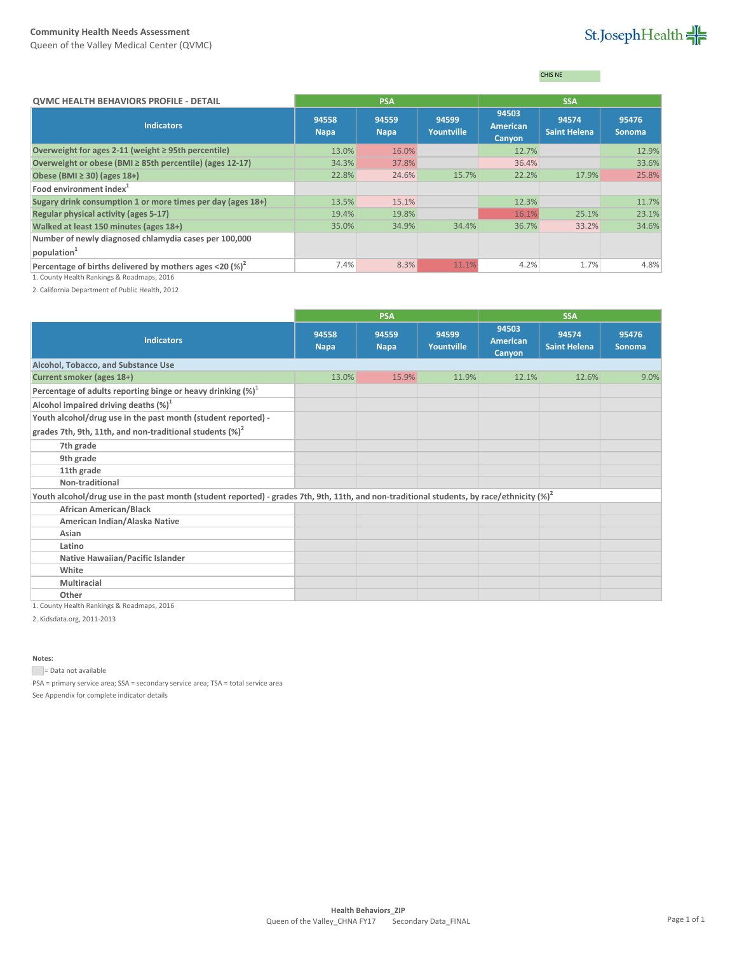Queen of the Valley Medical Center (QVMC)

# St.JosephHealth

CHIS NE

| <b>QVMC HEALTH BEHAVIORS PROFILE - DETAIL</b>                               | <b>PSA</b>           |                      |                            | <b>SSA</b>                         |                              |                        |
|-----------------------------------------------------------------------------|----------------------|----------------------|----------------------------|------------------------------------|------------------------------|------------------------|
| <b>Indicators</b>                                                           | 94558<br><b>Napa</b> | 94559<br><b>Napa</b> | 94599<br><b>Yountville</b> | 94503<br><b>American</b><br>Canyon | 94574<br><b>Saint Helena</b> | 95476<br><b>Sonoma</b> |
| Overweight for ages 2-11 (weight $\geq$ 95th percentile)                    | 13.0%                | 16.0%                |                            | 12.7%                              |                              | 12.9%                  |
| Overweight or obese (BMI ≥ 85th percentile) (ages 12-17)                    | 34.3%                | 37.8%                |                            | 36.4%                              |                              | 33.6%                  |
| Obese (BMI $\geq$ 30) (ages 18+)                                            | 22.8%                | 24.6%                | 15.7%                      | 22.2%                              | 17.9%                        | 25.8%                  |
| Food environment index $1$                                                  |                      |                      |                            |                                    |                              |                        |
| Sugary drink consumption 1 or more times per day (ages 18+)                 | 13.5%                | 15.1%                |                            | 12.3%                              |                              | 11.7%                  |
| Regular physical activity (ages 5-17)                                       | 19.4%                | 19.8%                |                            | 16.1%                              | 25.1%                        | 23.1%                  |
| Walked at least 150 minutes (ages 18+)                                      | 35.0%                | 34.9%                | 34.4%                      | 36.7%                              | 33.2%                        | 34.6%                  |
| Number of newly diagnosed chlamydia cases per 100,000<br>$ $ population $1$ |                      |                      |                            |                                    |                              |                        |
| Percentage of births delivered by mothers ages <20 $\left(\% \right)^2$     | 7.4%                 | 8.3%                 | 11.1%                      | 4.2%                               | 1.7%                         | 4.8%                   |

1. County Health Rankings & Roadmaps, 2016

2. California Department of Public Health, 2012

|                                                                                                                                              | <b>PSA</b>           |                      |                     | <b>SSA</b>                         |                              |                 |  |
|----------------------------------------------------------------------------------------------------------------------------------------------|----------------------|----------------------|---------------------|------------------------------------|------------------------------|-----------------|--|
| <b>Indicators</b>                                                                                                                            | 94558<br><b>Napa</b> | 94559<br><b>Napa</b> | 94599<br>Yountville | 94503<br><b>American</b><br>Canyon | 94574<br><b>Saint Helena</b> | 95476<br>Sonoma |  |
| Alcohol, Tobacco, and Substance Use                                                                                                          |                      |                      |                     |                                    |                              |                 |  |
| Current smoker (ages 18+)                                                                                                                    | 13.0%                | 15.9%                | 11.9%               | 12.1%                              | 12.6%                        | 9.0%            |  |
| Percentage of adults reporting binge or heavy drinking $(\%)^1$                                                                              |                      |                      |                     |                                    |                              |                 |  |
| Alcohol impaired driving deaths $(\%)^1$                                                                                                     |                      |                      |                     |                                    |                              |                 |  |
| Youth alcohol/drug use in the past month (student reported) -                                                                                |                      |                      |                     |                                    |                              |                 |  |
| grades 7th, 9th, 11th, and non-traditional students $(\%)^2$                                                                                 |                      |                      |                     |                                    |                              |                 |  |
| 7th grade                                                                                                                                    |                      |                      |                     |                                    |                              |                 |  |
| 9th grade                                                                                                                                    |                      |                      |                     |                                    |                              |                 |  |
| 11th grade                                                                                                                                   |                      |                      |                     |                                    |                              |                 |  |
| Non-traditional                                                                                                                              |                      |                      |                     |                                    |                              |                 |  |
| Youth alcohol/drug use in the past month (student reported) - grades 7th, 9th, 11th, and non-traditional students, by race/ethnicity $(%)^2$ |                      |                      |                     |                                    |                              |                 |  |
| <b>African American/Black</b>                                                                                                                |                      |                      |                     |                                    |                              |                 |  |
| American Indian/Alaska Native                                                                                                                |                      |                      |                     |                                    |                              |                 |  |
| Asian                                                                                                                                        |                      |                      |                     |                                    |                              |                 |  |
| Latino                                                                                                                                       |                      |                      |                     |                                    |                              |                 |  |
| Native Hawaiian/Pacific Islander                                                                                                             |                      |                      |                     |                                    |                              |                 |  |
| White                                                                                                                                        |                      |                      |                     |                                    |                              |                 |  |
| <b>Multiracial</b>                                                                                                                           |                      |                      |                     |                                    |                              |                 |  |
| Other                                                                                                                                        |                      |                      |                     |                                    |                              |                 |  |

1. County Health Rankings & Roadmaps, 2016

2. Kidsdata.org, 2011-2013

**Notes:**

Data not available

PSA = primary service area; SSA = secondary service area; TSA = total service area See Appendix for complete indicator details